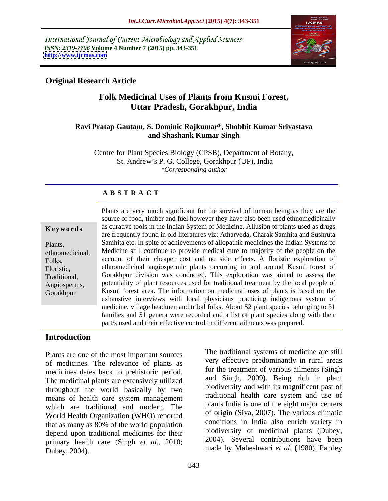International Journal of Current Microbiology and Applied Sciences *ISSN: 2319-7706* **Volume 4 Number 7 (2015) pp. 343-351 <http://www.ijcmas.com>**



### **Original Research Article**

# **Folk Medicinal Uses of Plants from Kusmi Forest, Uttar Pradesh, Gorakhpur, India**

#### **Ravi Pratap Gautam, S. Dominic Rajkumar\*, Shobhit Kumar Srivastava and Shashank Kumar Singh**

Centre for Plant Species Biology (CPSB), Department of Botany, St. Andrew's P. G. College, Gorakhpur (UP), India *\*Corresponding author*

### **A B S T R A C T**

Gorakhpur

Plants are very much significant for the survival of human being as they are the source of food, timber and fuel however they have also been used ethnomedicinally as curative tools in the Indian System of Medicine. Allusion to plants used as drugs **Ke ywo rds** are frequently found in old literatures viz; Atharveda, Charak Samhita and Sushruta Samhita etc. In spite of achievements of allopathic medicines the Indian Systems of Plants, ethnomedicinal, Medicine still continue to provide medical cure to majority of the people on the Folks, account of their cheaper cost and no side effects. A floristic exploration of ethnomedicinal angiospermic plants occurring in and around Kusmi forest of Floristic, Gorakhpur division was conducted. This exploration was aimed to assess the Traditional, potentiality of plant resources used for traditional treatment by the local people of Angiosperms, Kusmi forest area. The information on medicinal uses of plants is based on the exhaustive interviews with local physicians practicing indigenous system of medicine, village headmen and tribal folks. About 52 plant species belonging to 31 families and 51 genera were recorded and a list of plant species along with their part/s used and their effective control in different ailments was prepared.

#### **Introduction**

Plants are one of the most important sources of medicines. The relevance of plants as medicines dates back to prehistoric period. The medicinal plants are extensively utilized throughout the world basically by two means of health care system management which are traditional and modern. The World Health Organization (WHO) reported that as many as 80% of the world population depend upon traditional medicines for their primary health care (Singh *et al.,* 2010; Dubey, 2004). made by Maheshwari *et al.* (1980), Pandey

The traditional systems of medicine are still very effective predominantly in rural areas for the treatment of various ailments (Singh and Singh, 2009). Being rich in plant biodiversity and with its magnificent past of traditional health care system and use of plants India is one of the eight major centers of origin (Siva, 2007). The various climatic conditions in India also enrich variety in biodiversity of medicinal plants (Dubey, 2004). Several contributions have been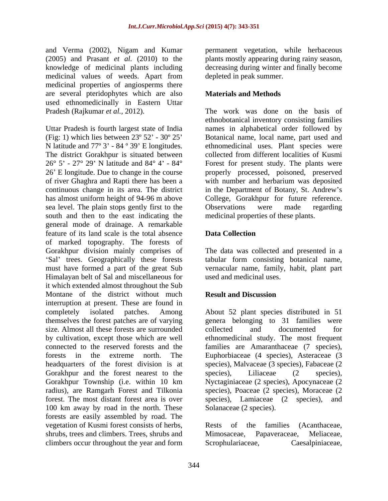and Verma (2002), Nigam and Kumar permanent vegetation, while herbaceous (2005) and Prasant *et al.* (2010) to the plants mostly appearing during rainy season, knowledge of medicinal plants including medicinal values of weeds. Apart from medicinal properties of angiosperms there are several pteridophytes which are also **Materials and Methods** used ethnomedicinally in Eastern Uttar<br>Pradesh (Rajkumar et al., 2012).

Uttar Pradesh is fourth largest state of India names in alphabetical order followed by (Fig: 1) which lies between 23º 52 - 30º 25 Botanical name, local name, part used and N latitude and  $77^{\circ}$  3' - 84  $^{\circ}$  39' E longitudes. The district Gorakhpur is situated between collected from different localities of Kusmi  $26^{\circ}$  5' -  $27^{\circ}$  29' N latitude and  $84^{\circ}$  4' -  $84^{\circ}$  Forest for present study. The plants were 26 E longitude. Due to change in the course properly processed, poisoned, preserved of river Ghaghra and Rapti there has been a with number and herbarium was deposited continuous change in its area. The district in the Department of Botany, St. Andrew's has almost uniform height of 94-96 m above College, Gorakhpur for future reference. sea level. The plain stops gently first to the Observations were made regarding south and then to the east indicating the general mode of drainage. A remarkable feature of its land scale is the total absence of marked topography. The forests of Gorakhpur division mainly comprises of The data was collected and presented in a must have formed a part of the great Sub vernacular name, family, habit, plant part Himalayan belt of Sal and miscellaneous for it which extended almost throughout the Sub Montane of the district without much **Result and Discussion** interruption at present. These are found in completely isolated patches. Among About 52 plant species distributed in 51 themselves the forest patches are of varying size. Almost all these forests are surrounded collected and documented for by cultivation, except those which are well ethnomedicinal study. The most frequent connected to the reserved forests and the families are Amaranthaceae (7 species), forests in the extreme north. The Euphorbiaceae (4 species), Asteraceae (3 headquarters of the forest division is at species), Malvaceae (3 species), Fabaceae (2 Gorakhpur and the forest nearest to the species), Liliaceae (2 species), Gorakhpur Township (i.e. within 10 km Nyctaginiaceae (2 species), Apocynaceae(2 radius), are Ramgarh Forest and Tilkonia species), Poaceae (2 species), Moraceae (2 forest. The most distant forest area is over species), Lamiaceae (2 species), and 100 km away by road in the north. These forests are easily assembled by road. The vegetation of Kusmi forest consists of herbs, Rests of the families (Acanthaceae, shrubs, trees and climbers. Trees, shrubs and Mimosaceae, Papaveraceae, Meliaceae, climbers occur throughout the year and form Scrophulariaceae. Caesalpiniaceae. climbers occur throughout the year and form Scrophulariaceae, Caesalpiniaceae,

decreasing during winter and finally become depleted in peak summer.

### **Materials and Methods**

Pradesh (Rajkumar *et al.,* 2012). The work was done on the basis of ethnobotanical inventory consisting families ethnomedicinal uses. Plant species were Observations were made regarding medicinal properties of these plants.

# **Data Collection**

Sal' trees. Geographically these forests tabular form consisting botanical name, used and medicinal uses.

# **Result and Discussion**

genera belonging to 31 families were collected and documented for species), Liliaceae (2 species), Solanaceae (2 species).

Rests of the families (Acanthaceae, Mimosaceae, Papaveraceae, Meliaceae, Scrophulariaceae,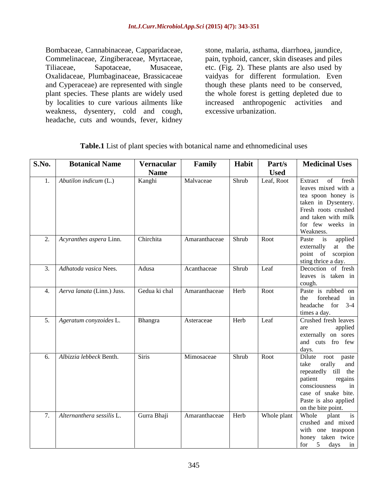Bombaceae, Cannabinaceae, Capparidaceae, stone, malaria, asthama, diarrhoea, jaundice, Commelinaceae, Zingiberaceae, Myrtaceae, pain, typhoid, cancer, skin diseases and piles Tiliaceae, Sapotaceae, Musaceae, etc. (Fig. 2). These plants are also used by Oxalidaceae, Plumbaginaceae, Brassicaceae vaidyas for different formulation. Even and Cyperaceae) are represented with single though these plants need to be conserved, plant species. These plants are widely used the whole forest is getting depleted due to by localities to cure various ailments like increased anthropogenic activities and weakness, dysentery, cold and cough, headache, cuts and wounds, fever, kidney

increased anthropogenic activities excessive urbanization.

| S.No. | <b>Botanical Name</b>         | Vernacular    | Family               | Habit      | Part/s      | <b>Medicinal Uses</b>                     |
|-------|-------------------------------|---------------|----------------------|------------|-------------|-------------------------------------------|
|       |                               | <b>Name</b>   |                      |            | <b>Used</b> |                                           |
|       | 1. Abutilon indicum $(L)$     | Kanghi        | Malvaceae            | Shrub      |             | Leaf, Root Extract of fresh               |
|       |                               |               |                      |            |             | leaves mixed with a                       |
|       |                               |               |                      |            |             | tea spoon honey is                        |
|       |                               |               |                      |            |             | taken in Dysentery.                       |
|       |                               |               |                      |            |             | Fresh roots crushed                       |
|       |                               |               |                      |            |             | and taken with milk                       |
|       |                               |               |                      |            |             | for few weeks in                          |
|       |                               |               |                      |            |             | Weakness.                                 |
|       | 2. Acyranthes aspera Linn.    | Chirchita     | Amaranthaceae Shrub  |            | Root        | Paste is applied                          |
|       |                               |               |                      |            |             | externally at the<br>point of scorpion    |
|       |                               |               |                      |            |             | sting thrice a day.                       |
|       | 3. Adhatoda vasica Nees.      | Adusa         | Acanthaceae          | Shrub Leaf |             | Decoction of fresh                        |
|       |                               |               |                      |            |             | leaves is taken in                        |
|       |                               |               |                      |            |             |                                           |
|       | 4. Aerva lanata (Linn.) Juss. | Gedua ki chal | Amaranthaceae   Herb |            | Root        | cough.<br>Paste is rubbed on              |
|       |                               |               |                      |            |             | the forehead in                           |
|       |                               |               |                      |            |             | headache for $3-4$                        |
|       |                               |               |                      |            |             | times a day.                              |
|       | 5. Ageratum conyzoides L.     | Bhangra       | Asteraceae           | Herb       | Leaf        | Crushed fresh leaves                      |
|       |                               |               |                      |            |             | applied<br>are                            |
|       |                               |               |                      |            |             | externally on sores                       |
|       |                               |               |                      |            |             | and cuts fro few                          |
|       |                               |               |                      |            |             | days.<br>Dilute root paste                |
|       | 6. Albizzia lebbeck Benth.    | Siris         | Mimosaceae           | Shrub Root |             |                                           |
|       |                               |               |                      |            |             | take orally and                           |
|       |                               |               |                      |            |             | repeatedly till the<br>patient regains    |
|       |                               |               |                      |            |             | regains<br>consciousness<br>$\mathbf{in}$ |
|       |                               |               |                      |            |             | case of snake bite.                       |
|       |                               |               |                      |            |             | Paste is also applied                     |
|       |                               |               |                      |            |             | on the bite point.                        |
|       | 7. Alternanthera sessilis L.  | Gurra Bhaji   | Amaranthaceae Herb   |            |             | Whole plant Whole plant is                |
|       |                               |               |                      |            |             | crushed and mixed                         |
|       |                               |               |                      |            |             | with one teaspoon                         |
|       |                               |               |                      |            |             | phoney taken twice                        |
|       |                               |               |                      |            |             | for $5 \text{ days} \text{ in}$           |

**Table.1** List of plant species with botanical name and ethnomedicinal uses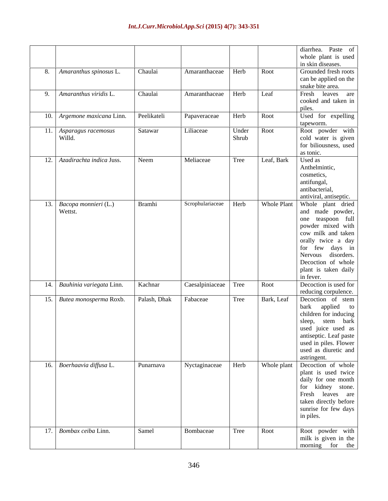|                                     |                       |                           |            |      | diarrhea. Paste of                                                                            |
|-------------------------------------|-----------------------|---------------------------|------------|------|-----------------------------------------------------------------------------------------------|
|                                     |                       |                           |            |      | whole plant is used                                                                           |
|                                     |                       |                           |            | Root | in skin diseases.                                                                             |
| 8. Amaranthus spinosus L.           | Chaulai               | Amaranthaceae Herb        |            |      | Grounded fresh roots<br>can be applied on the                                                 |
|                                     |                       |                           |            |      | snake bite area.                                                                              |
| 9. Amaranthus viridis L.            | Chaulai               | Amaranthaceae Herb        |            | Leaf | Fresh leaves are                                                                              |
|                                     |                       |                           |            |      | cooked and taken in                                                                           |
|                                     |                       |                           |            |      | piles.                                                                                        |
| 10. Argemone maxicana Linn.         | Peelikateli           | Papaveraceae              | Herb       | Root | Used for expelling                                                                            |
|                                     |                       |                           |            |      | tapeworm.                                                                                     |
|                                     | Satawar               | Liliaceae                 | Under Root |      | Root powder with                                                                              |
| 11. Asparagus racemosus<br>Willd.   |                       |                           | Shrub      |      | cold water is given                                                                           |
|                                     |                       |                           |            |      | for biliousness, used                                                                         |
|                                     |                       |                           |            |      | as tonic.                                                                                     |
| 12. Azadirachta indica Juss.        | Neem                  | Meliaceae                 | Tree       |      | Leaf, Bark Used as                                                                            |
|                                     |                       |                           |            |      | Anthelmintic,                                                                                 |
|                                     |                       |                           |            |      | cosmetics,                                                                                    |
|                                     |                       |                           |            |      | antifungal,                                                                                   |
|                                     |                       |                           |            |      | antibacterial,                                                                                |
|                                     |                       |                           |            |      | antiviral, antiseptic.                                                                        |
| 13. Bacopa monnieri (L.)<br>Wettst. | Bramhi                | Scrophulariaceae   Herb   |            |      | Whole Plant Whole plant dried                                                                 |
|                                     |                       |                           |            |      | and made powder,                                                                              |
|                                     |                       |                           |            |      | one teaspoon full                                                                             |
|                                     |                       |                           |            |      | powder mixed with                                                                             |
|                                     |                       |                           |            |      | cow milk and taken                                                                            |
|                                     |                       |                           |            |      | orally twice a day                                                                            |
|                                     |                       |                           |            |      | for few days in<br>Nervous disorders.                                                         |
|                                     |                       |                           |            |      | Decoction of whole                                                                            |
|                                     |                       |                           |            |      | plant is taken daily                                                                          |
|                                     |                       |                           |            |      | in fever.                                                                                     |
| 14. Bauhinia variegata Linn.        | Kachnar               | Caesalpiniaceae Tree Root |            |      | Decoction is used for                                                                         |
|                                     |                       |                           |            |      | reducing corpulence.                                                                          |
| 15. Butea monosperma Roxb.          | Palash, Dhak Fabaceae |                           |            |      | Tree Bark, Leaf Decoction of stem                                                             |
|                                     |                       |                           |            |      |                                                                                               |
|                                     |                       |                           |            |      | bark applied to<br>children for inducing                                                      |
|                                     |                       |                           |            |      | sleep, stem bark                                                                              |
|                                     |                       |                           |            |      |                                                                                               |
|                                     |                       |                           |            |      | used juice used as<br>antiseptic. Leaf paste<br>used in piles. Flower<br>used as diuretic and |
|                                     |                       |                           |            |      |                                                                                               |
|                                     |                       |                           |            |      |                                                                                               |
|                                     |                       |                           |            |      | Whole plant astringent.                                                                       |
| 16. Boerhaavia diffusa L.           | Punarnava             | Nyctaginaceae Herb        |            |      |                                                                                               |
|                                     |                       |                           |            |      | plant is used twice                                                                           |
|                                     |                       |                           |            |      | daily for one month                                                                           |
|                                     |                       |                           |            |      | for kidney stone.                                                                             |
|                                     |                       |                           |            |      | Fresh leaves are                                                                              |
|                                     |                       |                           |            |      | taken directly before<br>sunrise for few days                                                 |
|                                     |                       |                           |            |      | in piles.                                                                                     |
|                                     |                       |                           |            |      |                                                                                               |
| 17. Bombax ceiba Linn.              | Samel                 | Bombaceae                 | Tree       | Root |                                                                                               |
|                                     |                       |                           |            |      | Root powder with<br>milk is given in the                                                      |
|                                     |                       |                           |            |      | morning for the                                                                               |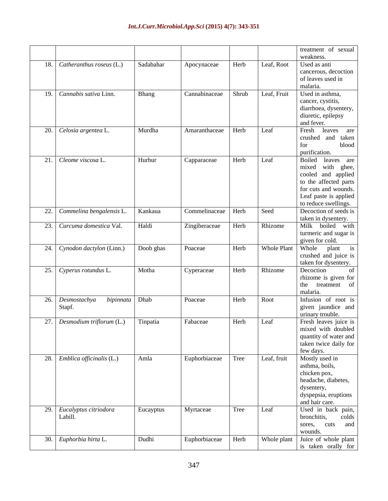|                                        |           |                                    |       |             | treatment of sexual              |
|----------------------------------------|-----------|------------------------------------|-------|-------------|----------------------------------|
|                                        |           |                                    |       |             | weakness.                        |
| $\boxed{18.}$ Catheranthus roseus (L.) | Sadabahar | Apocynaceae                        | Herb  | Leaf, Root  | Used as anti                     |
|                                        |           |                                    |       |             | cancerous, decoction             |
|                                        |           |                                    |       |             | of leaves used in                |
|                                        |           |                                    |       |             | malaria.                         |
| 19. Cannabis sativa Linn.              | Bhang     | Cannabinaceae                      | Shrub | Leaf, Fruit | Used in asthma,                  |
|                                        |           |                                    |       |             | cancer, cystitis,                |
|                                        |           |                                    |       |             | diarrhoea, dysentery,            |
|                                        |           |                                    |       |             | diuretic, epilepsy               |
|                                        |           |                                    |       |             | and fever.                       |
| $\boxed{20}$ . Celosia argentea L.     | Murdha    | Amaranthaceae                      | Herb  | Leaf        | Fresh<br>leaves are              |
|                                        |           |                                    |       |             | crushed<br>and taken             |
|                                        |           |                                    |       |             | blood<br>for                     |
|                                        |           |                                    |       |             | purification.                    |
| 21. Cleome viscosa L.                  | Hurhur    | Capparaceae                        | Herb  | Leaf        | Boiled leaves are                |
|                                        |           |                                    |       |             | mixed with ghee,                 |
|                                        |           |                                    |       |             | cooled and applied               |
|                                        |           |                                    |       |             | to the affected parts            |
|                                        |           |                                    |       |             | for cuts and wounds.             |
|                                        |           |                                    |       |             | Leaf paste is applied            |
|                                        |           |                                    |       |             | to reduce swellings.             |
| 22. Commelina bengalensis L.           | Kankaua   | $\sqrt{\frac{1}{2}}$ Commelinaceae | Herb  | Seed        | Decoction of seeds is            |
|                                        |           |                                    |       |             | taken in dysentery.              |
| 23. Curcuma domestica Val.             | Haldi     | Zingiberaceae                      | Herb  | Rhizome     | Milk boiled with                 |
|                                        |           |                                    |       |             | turmeric and sugar is            |
|                                        |           |                                    |       |             | given for cold.                  |
| 24. Cynodon dactylon (Linn.)           | Doob ghas | Poaceae                            | Herb  | Whole Plant | Whole plant is                   |
|                                        |           |                                    |       |             | crushed and juice is             |
|                                        |           |                                    |       |             | taken for dysentery.             |
| 25. Cyperus rotundus L.                | Motha     | Cyperaceae                         | Herb  | Rhizome     | Decoction                        |
|                                        |           |                                    |       |             | rhizome is given for             |
|                                        |           |                                    |       |             | the treatment of                 |
|                                        |           |                                    |       |             | malaria.                         |
| bipinnata Dhab<br>26. Desmostachya     |           | Poaceae                            | Herb  | Root        | Infusion of root is              |
| Stapf.                                 |           |                                    |       |             | given jaundice and               |
|                                        |           |                                    |       |             | urinary trouble.                 |
| 27. Desmodium triflorum (L.)           | Tinpatia  | Fabaceae                           | Herb  | Leaf        | Fresh leaves juice is            |
|                                        |           |                                    |       |             | mixed with doubled               |
|                                        |           |                                    |       |             | quantity of water and            |
|                                        |           |                                    |       |             | taken twice daily for            |
|                                        |           |                                    |       |             | few days.                        |
| 28. Emblica officinalis (L.)           | Amla      | Euphorbiaceae                      | Tree  | Leaf, fruit | Mostly used in                   |
|                                        |           |                                    |       |             | asthma, boils,                   |
|                                        |           |                                    |       |             | chicken pox,                     |
|                                        |           |                                    |       |             | headache, diabetes,              |
|                                        |           |                                    |       |             | dysentery,                       |
|                                        |           |                                    |       |             | dyspepsia, eruptions             |
|                                        |           |                                    |       |             | and hair care.                   |
| 29. Eucalyptus citriodora              | Eucayptus | Myrtaceae                          | Tree  | Leaf        | Used in back pain,               |
| Labill.                                |           |                                    |       |             | bronchitis, colds                |
|                                        |           |                                    |       |             | sores, cuts and                  |
|                                        |           |                                    |       |             | wounds.                          |
|                                        |           |                                    |       |             |                                  |
| 30. Euphorbia hirta L.                 | Dudhi     | Euphorbiaceae                      | Herb  |             | Whole plant Juice of whole plant |
|                                        |           |                                    |       |             | is taken orally for              |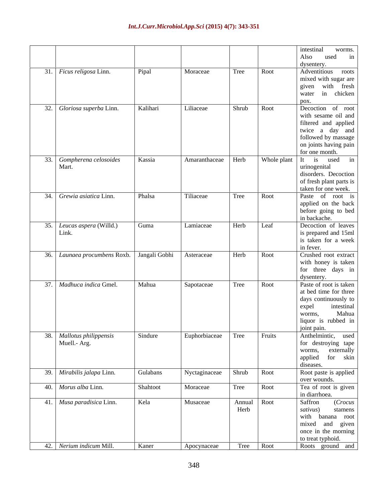|                                              |          |               |                     |             | intestinal<br>worms.                     |
|----------------------------------------------|----------|---------------|---------------------|-------------|------------------------------------------|
|                                              |          |               |                     |             | used in<br>Also                          |
|                                              |          |               |                     |             | dysentery.                               |
| 31. Ficus religosa Linn.                     | Pipal    | Moraceae      | Tree                | Root        | Adventitious roots                       |
|                                              |          |               |                     |             | mixed with sugar are                     |
|                                              |          |               |                     |             | given with fresh                         |
|                                              |          |               |                     |             | water in chicken                         |
|                                              |          |               |                     |             | pox.                                     |
| 32. Gloriosa superba Linn.                   | Kalihari | Liliaceae     | Shrub               | Root        | Decoction of root                        |
|                                              |          |               |                     |             | with sesame oil and                      |
|                                              |          |               |                     |             | filtered and applied                     |
|                                              |          |               |                     |             | twice a day and                          |
|                                              |          |               |                     |             | followed by massage                      |
|                                              |          |               |                     |             | on joints having pain                    |
|                                              |          |               |                     |             | for one month.                           |
| 33. Gompherena celosoides                    | Kassia   | Amaranthaceae | Herb                | Whole plant | It is used in                            |
| Mart.                                        |          |               |                     |             | urinogenital                             |
|                                              |          |               |                     |             | disorders. Decoction                     |
|                                              |          |               |                     |             | of fresh plant parts is                  |
|                                              |          |               |                     |             | taken for one week.                      |
| 34. Grewia asiatica Linn.                    | Phalsa   | Tiliaceae     | Tree                | Root        | Paste of root is                         |
|                                              |          |               |                     |             | applied on the back                      |
|                                              |          |               |                     |             | before going to bed                      |
|                                              |          |               |                     |             | in backache.                             |
| 35. Leucas aspera (Willd.)                   | Guma     | Lamiaceae     | Herb                | Leaf        | Decoction of leaves                      |
| Link.                                        |          |               |                     |             | is prepared and 15ml                     |
|                                              |          |               |                     |             | is taken for a week                      |
|                                              |          |               |                     |             | in fever.                                |
| 36. Launaea procumbens Roxb.   Jangali Gobhi |          | Asteraceae    | Herb                | Root        | Crushed root extract                     |
|                                              |          |               |                     |             | with honey is taken                      |
|                                              |          |               |                     |             | for three days in                        |
|                                              |          |               |                     |             | dysentery.                               |
| 37. Madhuca indica Gmel.                     | Mahua    | Sapotaceae    | Tree                | Root        | Paste of root is taken                   |
|                                              |          |               |                     |             | at bed time for three                    |
|                                              |          |               |                     |             | days continuously to                     |
|                                              |          |               |                     |             | intestinal<br>expel                      |
|                                              |          |               |                     |             | Mahua<br>worms,                          |
|                                              |          |               |                     |             | liquor is rubbed in                      |
|                                              |          |               |                     |             | joint pain.<br>Anthelmintic, used        |
| 38. Mallotus philippensis                    | Sindure  | Euphorbiaceae | Tree                | Fruits      |                                          |
| Muell.- Arg.                                 |          |               |                     |             | for destroying tape<br>worms, externally |
|                                              |          |               |                     |             |                                          |
|                                              |          |               |                     |             | applied for skin                         |
|                                              |          |               |                     |             | diseases.                                |
| 39. Mirabilis jalapa Linn.                   | Gulabans | Nyctaginaceae | Shrub               | Root        | Root paste is applied                    |
|                                              | Shahtoot |               |                     |             | over wounds.                             |
| 40. Morus alba Linn.                         |          | Moraceae      | Tree                | Root        | Tea of root is given<br>in diarrhoea.    |
|                                              |          |               |                     |             |                                          |
| 41. Musa paradisica Linn.                    | Kela     | Musaceae      | Annual Root<br>Herb |             | (Crocus<br>Saffron                       |
|                                              |          |               |                     |             | sativus)<br>stamens                      |
|                                              |          |               |                     |             | with banana root                         |
|                                              |          |               |                     |             | mixed and given                          |
|                                              |          |               |                     |             | once in the morning                      |
|                                              |          |               |                     |             | to treat typhoid.                        |
| 42. Nerium indicum Mill.                     | Kaner    | Apocynaceae   |                     | Tree Root   | Roots ground and                         |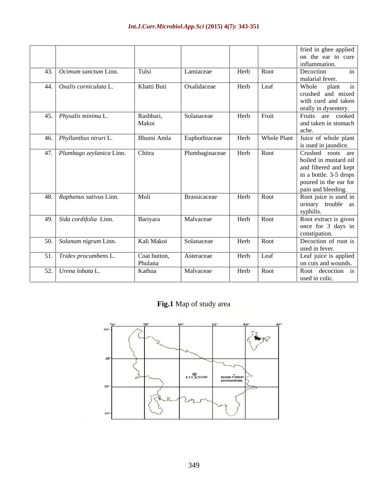|                              |              |                |      |             | fried in ghee applied  |
|------------------------------|--------------|----------------|------|-------------|------------------------|
|                              |              |                |      |             | on the ear to cure     |
|                              |              |                |      |             | inflammation.          |
| 43. Ocimum sanctum Linn.     | Tulsi        | Lamiaceae      | Herb | Root        | Decoction<br>in        |
|                              |              |                |      |             | malarial fever.        |
| 44. Oxalis corniculata L.    | Khatti Buti  | Oxalidaceae    | Herb | Leaf        | Whole plant is         |
|                              |              |                |      |             | crushed and mixed      |
|                              |              |                |      |             | with curd and taken    |
|                              |              |                |      |             | orally in dysentery.   |
| 45. Physalis minima L.       | Rasbhari,    | Solanaceae     | Herb | Fruit       | Fruits are cooked      |
|                              | Makoi        |                |      |             | and taken in stomach   |
|                              |              |                |      |             | ache.                  |
| 46. Phyllanthus niruri L.    | Bhumi Amla   | Euphorbiaceae  | Herb | Whole Plant | Juice of whole plant   |
|                              |              |                |      |             | is used in jaundice.   |
| 47. Plumbago zeylanica Linn. | Chitra       | Plumbaginaceae | Herb | Root        | Crushed roots are      |
|                              |              |                |      |             | boiled in mustard oil  |
|                              |              |                |      |             | and filtered and kept  |
|                              |              |                |      |             | in a bottle. 3-5 drops |
|                              |              |                |      |             | poured in the ear for  |
|                              |              |                |      |             | pain and bleeding.     |
| 48. Raphanus sativus Linn.   | Muli         | Brassicaceae   | Herb | Root        | Root juice is used in  |
|                              |              |                |      |             | urinary trouble as     |
|                              |              |                |      |             | syphilis.              |
| 49. Sida cordifolia Linn.    | Bariyara     | Malvaceae      | Herb | Root        | Root extract is given  |
|                              |              |                |      |             | once for 3 days in     |
|                              |              |                |      |             | constipation.          |
| 50. Solanum nigrum Linn.     | Kali Makoi   | Solanaceae     | Herb | Root        | Decoction of root is   |
|                              |              |                |      |             | used in fever.         |
| 51. Tridex procumbens L.     | Coat button, | Asteraceae     | Herb | Leaf        | Leaf juice is applied  |
|                              | Phulana      |                |      |             | on cuts and wounds.    |
| 52. Urena lobata L.          | Kathua       | Malvaceae      |      | Herb Root   | Root decoction is      |
|                              |              |                |      |             | used in colic.         |

**Fig.1** Map of study area

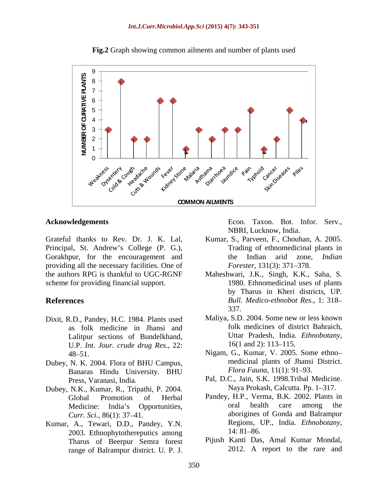

**Fig.2** Graph showing common ailments and number of plants used

Grateful thanks to Rev. Dr. J. K. Lal, Kumar, S., Parveen, F., Chouhan, A. 2005. Principal, St. Andrew's College (P. G.), Gorakhpur, for the encouragement and the Indian arid zone, Indian providing all the necessary facilities. One of the authors RPG is thankful to UGC-RGNF Maheshwari, J.K., Singh, K.K., Saha, S. scheme for providing financial support. redigements<br>
Econ. Taxon. Bot. Infor. Serv.<br>
11 thanks to Rev. Dr. J. K. Lal,<br>
18RI, Lucknow, India.<br>
11, St. Andrew's College (P. G.),<br>
11 Taxon. St. The encouragement and<br>
the Indian arid zone, Indian<br>
pur. for the encou

- Dixit, R.D., Pandey, H.C. 1984. Plants used as folk medicine in Jhansi and Lalitpur sections of Bundelkhand, Uttar Pradesh, India.<br>U.P. Int. Jour crude drug Res. 22: 16(1 and 2): 113–115. U.P. *Int. Jour. crude drug Res.,* 22:
- Dubey, N. K. 2004. Flora of BHU Campus,<br>
Banaras Hindu University BHU
- Dubey, N.K., Kumar, R., Tripathi, P. 2004.
- Kumar, A., Tewari, D.D., Pandey, Y.N.<br>2003 Ethnophytothereputics among 14:81–86. 2003. Ethnophytothereputics among Tharus of Beerpur Semra forest

**Acknowledgements** Econ. Taxon. Bot. Infor. Serv.,

- Trading of ethnomedicinal plants in the Indian arid zone, *Indian Forester,* 131(3): 371–378.
- **References** *Bull. Medico-ethnobot Res.,* 1: 318 1980. Ethnomedicinal uses of plants by Tharus in Kheri districts, UP. 337.
	- Maliya, S.D. 2004. Some new or less known folk medicines of district Bahraich, Uttar Pradesh, India. *Ethnobotany,*  $16(1 \text{ and } 2)$ : 113–115.
	- 48 51. Nigam, G., Kumar, V. 2005. Some ethno Banaras Hindu University. BHU *Flora Fauna*, 11(1): 91–93. medicinal plants of Jhansi District. *Flora Fauna,* 11(1): 91–93.
	- Press, Varanasi, India. Pal, D.C., Jain, S.K. 1998.Tribal Medicine. Naya Prokash, Calcutta. Pp. 1-317.
	- Global Promotion of Herbal Pandey, H.P., Verma, B.K. 2002. Plants in Medicine: India's Opportunities, and the oral health care among the *Curr. Sci.*, 86(1): 37–41. **aborigines** of Gonda and Balrampur oral health care among the Regions, UP., India. *Ethnobotany,* 14: 81–86.
		- Pijush Kanti Das, Amal Kumar Mondal, 2012. A report to the rare and